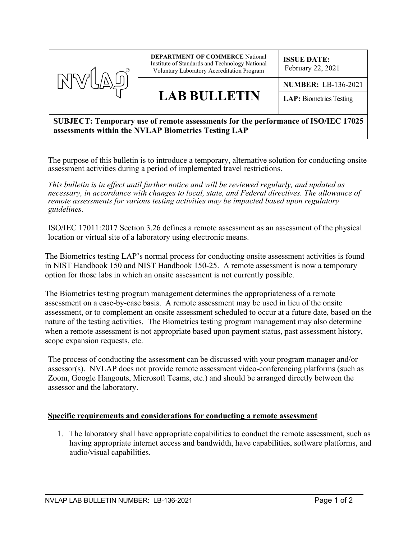

## **SUBJECT: Temporary use of remote assessments for the performance of ISO/IEC 17025 assessments within the NVLAP Biometrics Testing LAP**

The purpose of this bulletin is to introduce a temporary, alternative solution for conducting onsite assessment activities during a period of implemented travel restrictions.

*This bulletin is in effect until further notice and will be reviewed regularly, and updated as necessary, in accordance with changes to local, state, and Federal directives. The allowance of remote assessments for various testing activities may be impacted based upon regulatory guidelines.*

ISO/IEC 17011:2017 Section 3.26 defines a remote assessment as an assessment of the physical location or virtual site of a laboratory using electronic means.

The Biometrics testing LAP's normal process for conducting onsite assessment activities is found in NIST Handbook 150 and NIST Handbook 150-25. A remote assessment is now a temporary option for those labs in which an onsite assessment is not currently possible.

The Biometrics testing program management determines the appropriateness of a remote assessment on a case-by-case basis. A remote assessment may be used in lieu of the onsite assessment, or to complement an onsite assessment scheduled to occur at a future date, based on the nature of the testing activities. The Biometrics testing program management may also determine when a remote assessment is not appropriate based upon payment status, past assessment history, scope expansion requests, etc.

The process of conducting the assessment can be discussed with your program manager and/or assessor(s). NVLAP does not provide remote assessment video-conferencing platforms (such as Zoom, Google Hangouts, Microsoft Teams, etc.) and should be arranged directly between the assessor and the laboratory.

## **Specific requirements and considerations for conducting a remote assessment**

1. The laboratory shall have appropriate capabilities to conduct the remote assessment, such as having appropriate internet access and bandwidth, have capabilities, software platforms, and audio/visual capabilities.